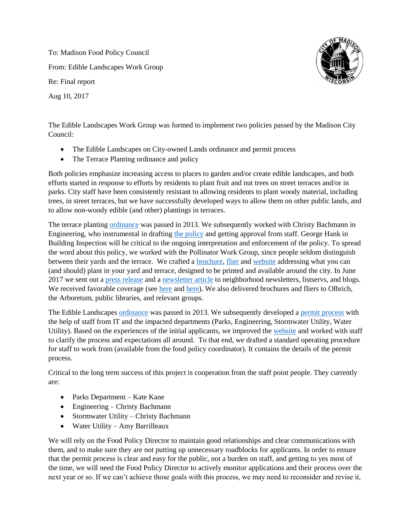To: Madison Food Policy Council From: Edible Landscapes Work Group Re: Final report Aug 10, 2017



The Edible Landscapes Work Group was formed to implement two policies passed by the Madison City Council:

- The Edible Landscapes on City-owned Lands ordinance and permit process
- The Terrace Planting ordinance and policy

Both policies emphasize increasing access to places to garden and/or create edible landscapes, and both efforts started in response to efforts by residents to plant fruit and nut trees on street terraces and/or in parks. City staff have been consistently resistant to allowing residents to plant woody material, including trees, in street terraces, but we have successfully developed ways to allow them on other public lands, and to allow non-woody edible (and other) plantings in terraces.

The terrace planting [ordinance](https://madison.legistar.com/LegislationDetail.aspx?ID=1306530&GUID=B08A46F4-FF76-47A4-B57D-AAD9E759D098&Options=ID%7CText%7C&Search=terrace+planting&FullText=1) was passed in 2013. We subsequently worked with Christy Bachmann in Engineering, who instrumental in drafting [the policy](http://madison.legistar.com/View.ashx?M=F&ID=3043379&GUID=3478D763-2447-45F5-B819-272F73D06B39) and getting approval from staff. George Hank in Building Inspection will be critical to the ongoing interpretation and enforcement of the policy. To spread the word about this policy, we worked with the Pollinator Work Group, since people seldom distinguish between their yards and the terrace. We crafted a [brochure,](http://www.cityofmadison.com/sites/default/files/city-of-madison/mayor/documents/TerracePlantingBrochure.pdf) [flier](http://www.cityofmadison.com/sites/default/files/city-of-madison/mayor/documents/TerracePlantingFlier.pdf) and [website](http://www.cityofmadison.com/mayor/priorities/food/terrace-and-yard-plantings) addressing what you can (and should) plant in your yard and terrace, designed to be printed and available around the city. In June 2017 we sent out a [press release](https://drive.google.com/file/d/0B_YxJFyuZ65zYXFoMndmemdQNTd1S0oxOXJCc3FHMVhlM05j/view?usp=sharing) and a [newsletter article](https://drive.google.com/open?id=0B_YxJFyuZ65zX05QR0hndXM0V2s) to neighborhood newsletters, listservs, and blogs. We received favorable coverage (see [here](http://www.wkow.com/story/35711569/2017/06/Tuesday/city-of-madison-asks-neighbors-to-help-boost-bee-population) and [here\)](http://www.madisoncommons.org/?q=content/terrace-planting-guide-finalized-and-ready-for-use). We also delivered brochures and fliers to Olbrich, the Arboretum, public libraries, and relevant groups.

The Edible Landscapes [ordinance](https://madison.legistar.com/LegislationDetail.aspx?ID=1343915&GUID=B2178723-53C4-46F0-8200-CAAC1A1E7A3A&Options=ID%7CText%7C&Search=edible+landscapes&FullText=1) was passed in 2013. We subsequently developed a [permit process](https://www.cityofmadison.com/mayor/priorities/food/edible-landscapes-permit-process) with the help of staff from IT and the impacted departments (Parks, Engineering, Stormwater Utility, Water Utility). Based on the experiences of the initial applicants, we improved the [website](https://www.cityofmadison.com/mayor/priorities/food/edible-landscapes-permit-process) and worked with staff to clarify the process and expectations all around. To that end, we drafted a standard operating procedure for staff to work from (available from the food policy coordinator). It contains the details of the permit process.

Critical to the long term success of this project is cooperation from the staff point people. They currently are:

- Parks Department Kate Kane
- Engineering Christy Bachmann
- Stormwater Utility Christy Bachmann
- Water Utility Amy Barrilleaux

We will rely on the Food Policy Director to maintain good relationships and clear communications with them, and to make sure they are not putting up unnecessary roadblocks for applicants. In order to ensure that the permit process is clear and easy for the public, not a burden on staff, and getting to yes most of the time, we will need the Food Policy Director to actively monitor applications and their process over the next year or so. If we can't achieve those goals with this process, we may need to reconsider and revise it,